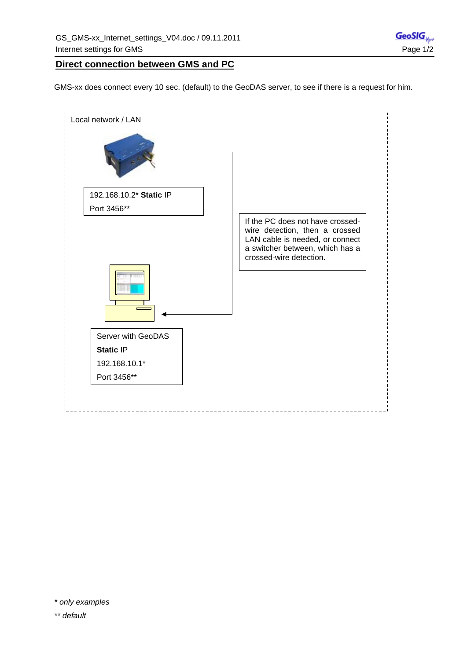## **Direct connection between GMS and PC**

GMS-xx does connect every 10 sec. (default) to the GeoDAS server, to see if there is a request for him.